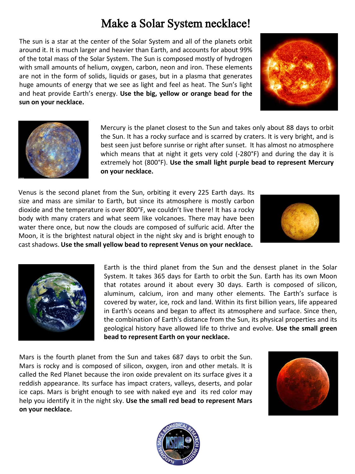## Make a Solar System necklace!

The sun is a star at the center of the Solar System and all of the planets orbit around it. It is much larger and heavier than Earth, and accounts for about 99% of the total mass of the Solar System. The Sun is composed mostly of hydrogen with small amounts of helium, oxygen, carbon, neon and iron. These elements are not in the form of solids, liquids or gases, but in a plasma that generates huge amounts of energy that we see as light and feel as heat. The Sun's light and heat provide Earth's energy. **Use the big, yellow or orange bead for the sun on your necklace.**





Mercury is the planet closest to the Sun and takes only about 88 days to orbit the Sun. It has a rocky surface and is scarred by craters. It is very bright, and is best seen just before sunrise or right after sunset. It has almost no atmosphere which means that at night it gets very cold (-280°F) and during the day it is extremely hot (800°F). **Use the small light purple bead to represent Mercury on your necklace.**

Venus is the second planet from the Sun, orbiting it every 225 Earth days. Its size and mass are similar to Earth, but since its atmosphere is mostly carbon dioxide and the temperature is over 800°F, we couldn't live there! It has a rocky body with many craters and what seem like volcanoes. There may have been water there once, but now the clouds are composed of sulfuric acid. After the Moon, it is the brightest natural object in the night sky and is bright enough to cast shadows. **Use the small yellow bead to represent Venus on your necklace.**





Earth is the third planet from the Sun and the densest planet in the Solar System. It takes 365 days for Earth to orbit the Sun. Earth has its own Moon that rotates around it about every 30 days. Earth is composed of silicon, aluminum, calcium, iron and many other elements. The Earth's surface is covered by water, ice, rock and land. Within its first billion years, life appeared in Earth's oceans and began to affect its atmosphere and surface. Since then, the combination of Earth's distance from the Sun, its physical properties and its geological history have allowed life to thrive and evolve. **Use the small green bead to represent Earth on your necklace.**

Mars is the fourth planet from the Sun and takes 687 days to orbit the Sun. Mars is rocky and is composed of silicon, oxygen, iron and other metals. It is called the Red Planet because the iron oxide prevalent on its surface gives it a reddish appearance. Its surface has impact craters, valleys, deserts, and polar ice caps. Mars is bright enough to see with naked eye and its red color may help you identify it in the night sky. **Use the small red bead to represent Mars on your necklace.**